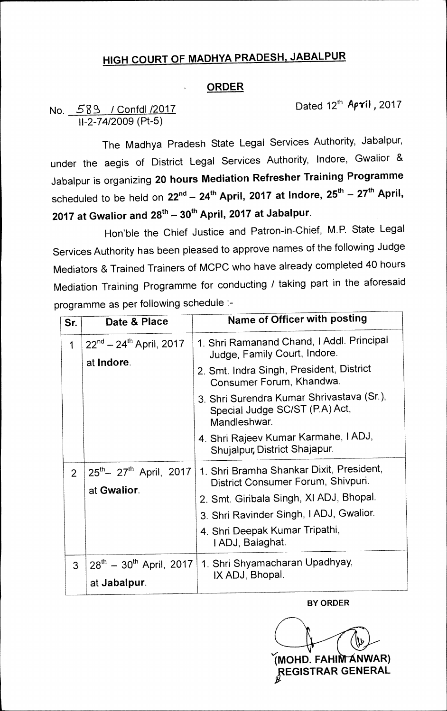## **HIGH COURT OF MADHYA PRADESH, JABALPUR**

## **ORDER**

## No. 589 / Confdl /2017 11-2-74/2009 (Pt-5)

Dated 12<sup>th</sup> **April**, 2017

**-7** 

The Madhya Pradesh State Legal Services Authority, Jabalpur, under the aegis of District Legal Services Authority, Indore, Gwalior & Jabalpur is organizing **20 hours Mediation Refresher Training Programme 20 Saparaged 15 Sigaring 20 Second and all and the second of the scheduled to be held on 22<sup>nd</sup> - 24<sup>th</sup> April, <sup>2017</sup> at Indore, 25<sup>th</sup> - 27<sup>th</sup> April, -- 30**th **2017 at Gwalior and 28th— JU April, 2017 at Jabalpur.** 

Hon'ble the Chief Justice and Patron-in-Chief, M.P. State Legal Services Authority has been pleased to approve names of the following Judge Mediators & Trained Trainers of MCPC who have already completed 40 hours Mediation Training Programme for conducting / taking part in the aforesaid programme as per following schedule :-

| Sr.            | Date & Place                                    | Name of Officer with posting                                                                |
|----------------|-------------------------------------------------|---------------------------------------------------------------------------------------------|
| $\mathbf 1$    | $22^{nd} - 24^{th}$ April, 2017<br>at Indore.   | 1. Shri Ramanand Chand, I Addl. Principal<br>Judge, Family Court, Indore.                   |
|                |                                                 | 2. Smt. Indra Singh, President, District<br>Consumer Forum, Khandwa.                        |
|                |                                                 | 3. Shri Surendra Kumar Shrivastava (Sr.),<br>Special Judge SC/ST (P.A) Act,<br>Mandleshwar. |
|                |                                                 | 4. Shri Rajeev Kumar Karmahe, I ADJ,<br>Shujalpur, District Shajapur.                       |
| $\overline{2}$ | $25^{th} - 27^{th}$ April, 2017<br>at Gwalior.  | 1. Shri Bramha Shankar Dixit, President,<br>District Consumer Forum, Shivpuri.              |
|                |                                                 | 2. Smt. Giribala Singh, XI ADJ, Bhopal.                                                     |
|                |                                                 | 3. Shri Ravinder Singh, I ADJ, Gwalior.                                                     |
|                |                                                 | 4. Shri Deepak Kumar Tripathi,<br>I ADJ, Balaghat.                                          |
| $\mathbf{3}$   | $28^{th} - 30^{th}$ April, 2017<br>at Jabalpur. | 1. Shri Shyamacharan Upadhyay,<br>IX ADJ, Bhopal.                                           |

**BY ORDER** 

**(MOHD. FAHIM ANWAR) IZEGISTRAR GENERAL**